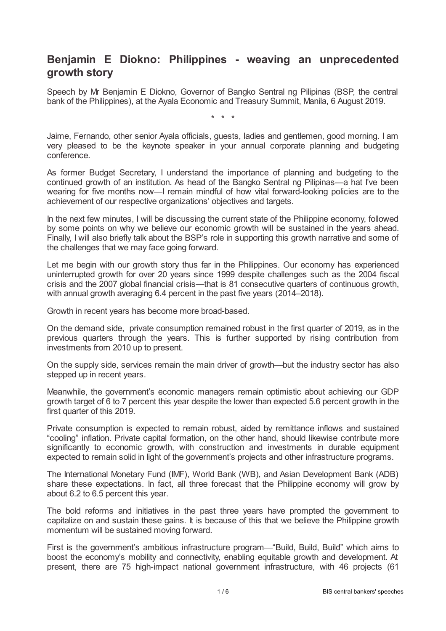## **Benjamin E Diokno: Philippines - weaving an unprecedented growth story**

Speech by Mr Benjamin E Diokno, Governor of Bangko Sentral ng Pilipinas (BSP, the central bank of the Philippines), at the Ayala Economic and Treasury Summit, Manila, 6 August 2019.

\* \* \*

Jaime, Fernando, other senior Ayala officials, guests, ladies and gentlemen, good morning. I am very pleased to be the keynote speaker in your annual corporate planning and budgeting conference.

As former Budget Secretary, I understand the importance of planning and budgeting to the continued growth of an institution. As head of the Bangko Sentral ng Pilipinas—a hat I've been wearing for five months now—I remain mindful of how vital forward-looking policies are to the achievement of our respective organizations' objectives and targets.

In the next few minutes, I will be discussing the current state of the Philippine economy, followed by some points on why we believe our economic growth will be sustained in the years ahead. Finally, I will also briefly talk about the BSP's role in supporting this growth narrative and some of the challenges that we may face going forward.

Let me begin with our growth story thus far in the Philippines. Our economy has experienced uninterrupted growth for over 20 years since 1999 despite challenges such as the 2004 fiscal crisis and the 2007 global financial crisis—that is 81 consecutive quarters of continuous growth, with annual growth averaging 6.4 percent in the past five years (2014–2018).

Growth in recent years has become more broad-based.

On the demand side, private consumption remained robust in the first quarter of 2019, as in the previous quarters through the years. This is further supported by rising contribution from investments from 2010 up to present.

On the supply side, services remain the main driver of growth—but the industry sector has also stepped up in recent years.

Meanwhile, the government's economic managers remain optimistic about achieving our GDP growth target of 6 to 7 percent this year despite the lower than expected 5.6 percent growth in the first quarter of this 2019.

Private consumption is expected to remain robust, aided by remittance inflows and sustained "cooling" inflation. Private capital formation, on the other hand, should likewise contribute more significantly to economic growth, with construction and investments in durable equipment expected to remain solid in light of the government's projects and other infrastructure programs.

The International Monetary Fund (IMF), World Bank (WB), and Asian Development Bank (ADB) share these expectations. In fact, all three forecast that the Philippine economy will grow by about 6.2 to 6.5 percent this year.

The bold reforms and initiatives in the past three years have prompted the government to capitalize on and sustain these gains. It is because of this that we believe the Philippine growth momentum will be sustained moving forward.

First is the government's ambitious infrastructure program—"Build, Build, Build" which aims to boost the economy's mobility and connectivity, enabling equitable growth and development. At present, there are 75 high-impact national government infrastructure, with 46 projects (61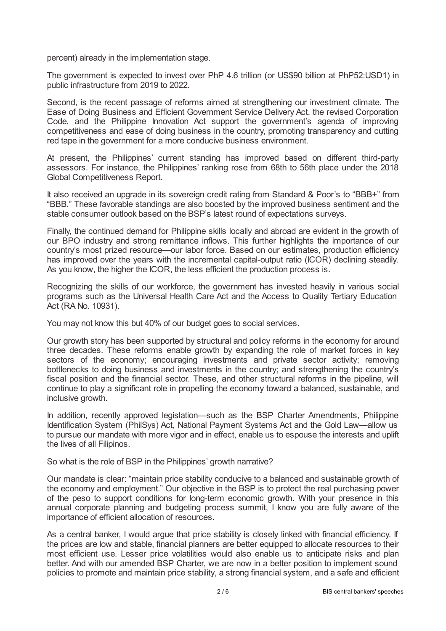percent) already in the implementation stage.

The government is expected to invest over PhP 4.6 trillion (or US\$90 billion at PhP52:USD1) in public infrastructure from 2019 to 2022.

Second, is the recent passage of reforms aimed at strengthening our investment climate. The Ease of Doing Business and Efficient Government Service Delivery Act, the revised Corporation Code, and the Philippine Innovation Act support the government's agenda of improving competitiveness and ease of doing business in the country, promoting transparency and cutting red tape in the government for a more conducive business environment.

At present, the Philippines' current standing has improved based on different third-party assessors. For instance, the Philippines' ranking rose from 68th to 56th place under the 2018 Global Competitiveness Report.

It also received an upgrade in its sovereign credit rating from Standard & Poor's to "BBB+" from "BBB." These favorable standings are also boosted by the improved business sentiment and the stable consumer outlook based on the BSP's latest round of expectations surveys.

Finally, the continued demand for Philippine skills locally and abroad are evident in the growth of our BPO industry and strong remittance inflows. This further highlights the importance of our country's most prized resource—our labor force. Based on our estimates, production efficiency has improved over the years with the incremental capital-output ratio (ICOR) declining steadily. As you know, the higher the ICOR, the less efficient the production process is.

Recognizing the skills of our workforce, the government has invested heavily in various social programs such as the Universal Health Care Act and the Access to Quality Tertiary Education Act (RA No. 10931).

You may not know this but 40% of our budget goes to social services.

Our growth story has been supported by structural and policy reforms in the economy for around three decades. These reforms enable growth by expanding the role of market forces in key sectors of the economy; encouraging investments and private sector activity; removing bottlenecks to doing business and investments in the country; and strengthening the country's fiscal position and the financial sector. These, and other structural reforms in the pipeline, will continue to play a significant role in propelling the economy toward a balanced, sustainable, and inclusive growth.

In addition, recently approved legislation—such as the BSP Charter Amendments, Philippine Identification System (PhilSys) Act, National Payment Systems Act and the Gold Law—allow us to pursue our mandate with more vigor and in effect, enable us to espouse the interests and uplift the lives of all Filipinos.

So what is the role of BSP in the Philippines' growth narrative?

Our mandate is clear: "maintain price stability conducive to a balanced and sustainable growth of the economy and employment." Our objective in the BSP is to protect the real purchasing power of the peso to support conditions for long-term economic growth. With your presence in this annual corporate planning and budgeting process summit, I know you are fully aware of the importance of efficient allocation of resources.

As a central banker, I would argue that price stability is closely linked with financial efficiency. If the prices are low and stable, financial planners are better equipped to allocate resources to their most efficient use. Lesser price volatilities would also enable us to anticipate risks and plan better. And with our amended BSP Charter, we are now in a better position to implement sound policies to promote and maintain price stability, a strong financial system, and a safe and efficient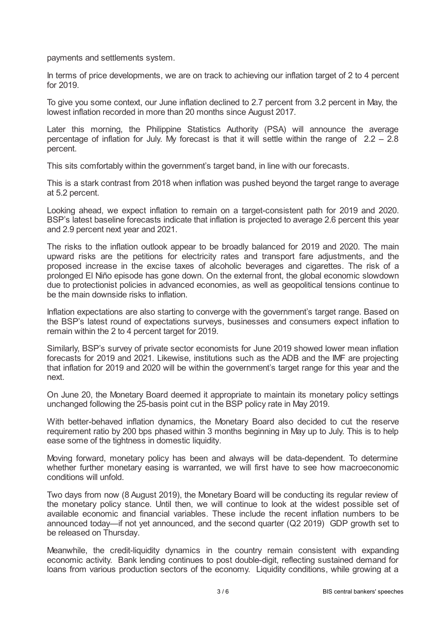payments and settlements system.

In terms of price developments, we are on track to achieving our inflation target of 2 to 4 percent for 2019.

To give you some context, our June inflation declined to 2.7 percent from 3.2 percent in May, the lowest inflation recorded in more than 20 months since August 2017.

Later this morning, the Philippine Statistics Authority (PSA) will announce the average percentage of inflation for July. My forecast is that it will settle within the range of  $2.2 - 2.8$ percent.

This sits comfortably within the government's target band, in line with our forecasts.

This is a stark contrast from 2018 when inflation was pushed beyond the target range to average at 5.2 percent.

Looking ahead, we expect inflation to remain on a target-consistent path for 2019 and 2020. BSP's latest baseline forecasts indicate that inflation is projected to average 2.6 percent this year and 2.9 percent next year and 2021.

The risks to the inflation outlook appear to be broadly balanced for 2019 and 2020. The main upward risks are the petitions for electricity rates and transport fare adjustments, and the proposed increase in the excise taxes of alcoholic beverages and cigarettes. The risk of a prolonged El Niño episode has gone down. On the external front, the global economic slowdown due to protectionist policies in advanced economies, as well as geopolitical tensions continue to be the main downside risks to inflation.

Inflation expectations are also starting to converge with the government's target range. Based on the BSP's latest round of expectations surveys, businesses and consumers expect inflation to remain within the 2 to 4 percent target for 2019.

Similarly, BSP's survey of private sector economists for June 2019 showed lower mean inflation forecasts for 2019 and 2021. Likewise, institutions such as the ADB and the IMF are projecting that inflation for 2019 and 2020 will be within the government's target range for this year and the next.

On June 20, the Monetary Board deemed it appropriate to maintain its monetary policy settings unchanged following the 25-basis point cut in the BSP policy rate in May 2019.

With better-behaved inflation dynamics, the Monetary Board also decided to cut the reserve requirement ratio by 200 bps phased within 3 months beginning in May up to July. This is to help ease some of the tightness in domestic liquidity.

Moving forward, monetary policy has been and always will be data-dependent. To determine whether further monetary easing is warranted, we will first have to see how macroeconomic conditions will unfold.

Two days from now (8 August 2019), the Monetary Board will be conducting its regular review of the monetary policy stance. Until then, we will continue to look at the widest possible set of available economic and financial variables. These include the recent inflation numbers to be announced today—if not yet announced, and the second quarter (Q2 2019) GDP growth set to be released on Thursday.

Meanwhile, the credit-liquidity dynamics in the country remain consistent with expanding economic activity. Bank lending continues to post double-digit, reflecting sustained demand for loans from various production sectors of the economy. Liquidity conditions, while growing at a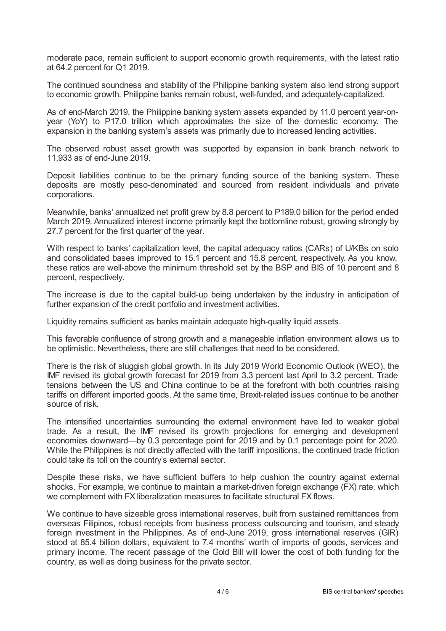moderate pace, remain sufficient to support economic growth requirements, with the latest ratio at 64.2 percent for Q1 2019.

The continued soundness and stability of the Philippine banking system also lend strong support to economic growth. Philippine banks remain robust, well-funded, and adequately-capitalized.

As of end-March 2019, the Philippine banking system assets expanded by 11.0 percent year-onyear (YoY) to P17.0 trillion which approximates the size of the domestic economy. The expansion in the banking system's assets was primarily due to increased lending activities.

The observed robust asset growth was supported by expansion in bank branch network to 11,933 as of end-June 2019.

Deposit liabilities continue to be the primary funding source of the banking system. These deposits are mostly peso-denominated and sourced from resident individuals and private corporations.

Meanwhile, banks' annualized net profit grew by 8.8 percent to P189.0 billion for the period ended March 2019. Annualized interest income primarily kept the bottomline robust, growing strongly by 27.7 percent for the first quarter of the year.

With respect to banks' capitalization level, the capital adequacy ratios (CARs) of U/KBs on solo and consolidated bases improved to 15.1 percent and 15.8 percent, respectively. As you know, these ratios are well-above the minimum threshold set by the BSP and BIS of 10 percent and 8 percent, respectively.

The increase is due to the capital build-up being undertaken by the industry in anticipation of further expansion of the credit portfolio and investment activities.

Liquidity remains sufficient as banks maintain adequate high-quality liquid assets.

This favorable confluence of strong growth and a manageable inflation environment allows us to be optimistic. Nevertheless, there are still challenges that need to be considered.

There is the risk of sluggish global growth. In its July 2019 World Economic Outlook (WEO), the IMF revised its global growth forecast for 2019 from 3.3 percent last April to 3.2 percent. Trade tensions between the US and China continue to be at the forefront with both countries raising tariffs on different imported goods. At the same time, Brexit-related issues continue to be another source of risk.

The intensified uncertainties surrounding the external environment have led to weaker global trade. As a result, the IMF revised its growth projections for emerging and development economies downward—by 0.3 percentage point for 2019 and by 0.1 percentage point for 2020. While the Philippines is not directly affected with the tariff impositions, the continued trade friction could take its toll on the country's external sector.

Despite these risks, we have sufficient buffers to help cushion the country against external shocks. For example, we continue to maintain a market-driven foreign exchange (FX) rate, which we complement with FX liberalization measures to facilitate structural FX flows.

We continue to have sizeable gross international reserves, built from sustained remittances from overseas Filipinos, robust receipts from business process outsourcing and tourism, and steady foreign investment in the Philippines. As of end-June 2019, gross international reserves (GIR) stood at 85.4 billion dollars, equivalent to 7.4 months' worth of imports of goods, services and primary income. The recent passage of the Gold Bill will lower the cost of both funding for the country, as well as doing business for the private sector.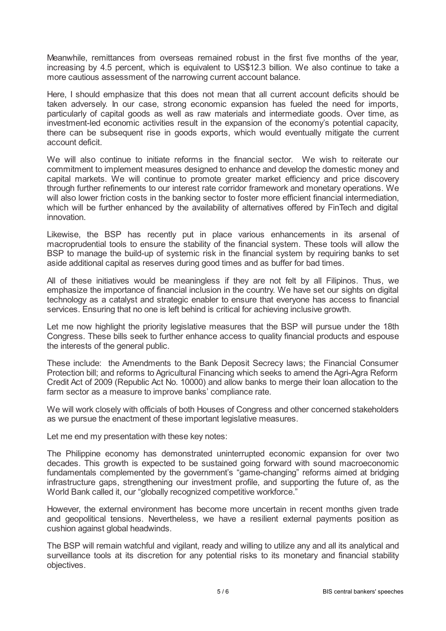Meanwhile, remittances from overseas remained robust in the first five months of the year, increasing by 4.5 percent, which is equivalent to US\$12.3 billion. We also continue to take a more cautious assessment of the narrowing current account balance.

Here, I should emphasize that this does not mean that all current account deficits should be taken adversely. In our case, strong economic expansion has fueled the need for imports, particularly of capital goods as well as raw materials and intermediate goods. Over time, as investment-led economic activities result in the expansion of the economy's potential capacity, there can be subsequent rise in goods exports, which would eventually mitigate the current account deficit.

We will also continue to initiate reforms in the financial sector. We wish to reiterate our commitment to implement measures designed to enhance and develop the domestic money and capital markets. We will continue to promote greater market efficiency and price discovery through further refinements to our interest rate corridor framework and monetary operations. We will also lower friction costs in the banking sector to foster more efficient financial intermediation, which will be further enhanced by the availability of alternatives offered by FinTech and digital innovation.

Likewise, the BSP has recently put in place various enhancements in its arsenal of macroprudential tools to ensure the stability of the financial system. These tools will allow the BSP to manage the build-up of systemic risk in the financial system by requiring banks to set aside additional capital as reserves during good times and as buffer for bad times.

All of these initiatives would be meaningless if they are not felt by all Filipinos. Thus, we emphasize the importance of financial inclusion in the country. We have set our sights on digital technology as a catalyst and strategic enabler to ensure that everyone has access to financial services. Ensuring that no one is left behind is critical for achieving inclusive growth.

Let me now highlight the priority legislative measures that the BSP will pursue under the 18th Congress. These bills seek to further enhance access to quality financial products and espouse the interests of the general public.

These include: the Amendments to the Bank Deposit Secrecy laws; the Financial Consumer Protection bill; and reforms to Agricultural Financing which seeks to amend the Agri-Agra Reform Credit Act of 2009 (Republic Act No. 10000) and allow banks to merge their loan allocation to the farm sector as a measure to improve banks' compliance rate.

We will work closely with officials of both Houses of Congress and other concerned stakeholders as we pursue the enactment of these important legislative measures.

Let me end my presentation with these key notes:

The Philippine economy has demonstrated uninterrupted economic expansion for over two decades. This growth is expected to be sustained going forward with sound macroeconomic fundamentals complemented by the government's "game-changing" reforms aimed at bridging infrastructure gaps, strengthening our investment profile, and supporting the future of, as the World Bank called it, our "globally recognized competitive workforce."

However, the external environment has become more uncertain in recent months given trade and geopolitical tensions. Nevertheless, we have a resilient external payments position as cushion against global headwinds.

The BSP will remain watchful and vigilant, ready and willing to utilize any and all its analytical and surveillance tools at its discretion for any potential risks to its monetary and financial stability objectives.